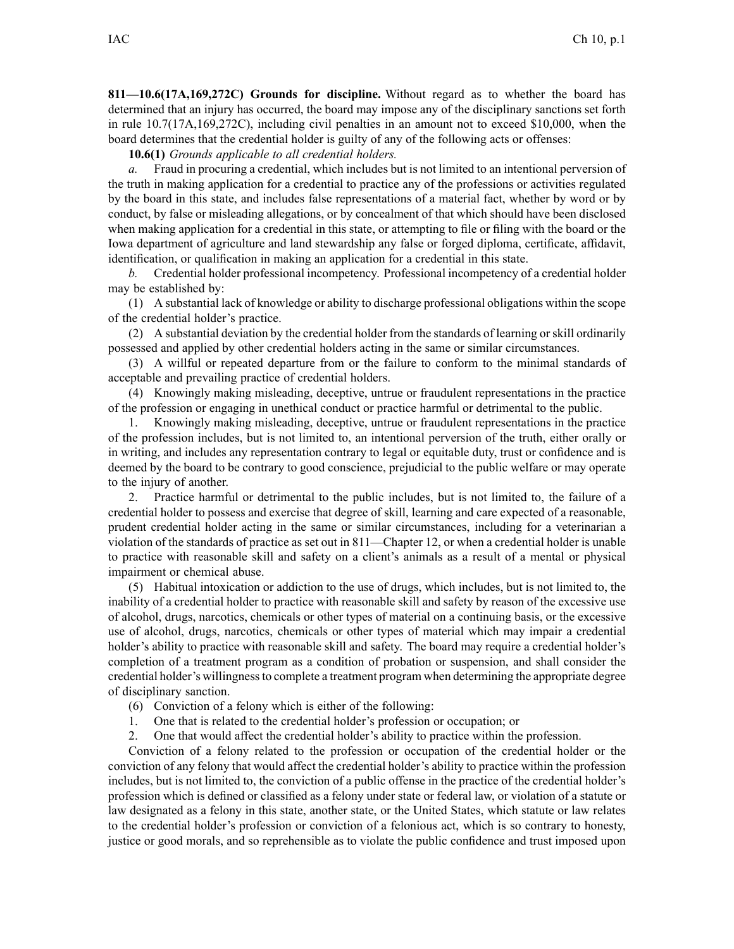**811—10.6(17A,169,272C) Grounds for discipline.** Without regard as to whether the board has determined that an injury has occurred, the board may impose any of the disciplinary sanctions set forth in rule 10.7(17A,169,272C), including civil penalties in an amount not to exceed \$10,000, when the board determines that the credential holder is guilty of any of the following acts or offenses:

**10.6(1)** *Grounds applicable to all credential holders.*

*a.* Fraud in procuring <sup>a</sup> credential, which includes but is not limited to an intentional perversion of the truth in making application for <sup>a</sup> credential to practice any of the professions or activities regulated by the board in this state, and includes false representations of <sup>a</sup> material fact, whether by word or by conduct, by false or misleading allegations, or by concealment of that which should have been disclosed when making application for <sup>a</sup> credential in this state, or attempting to file or filing with the board or the Iowa department of agriculture and land stewardship any false or forged diploma, certificate, affidavit, identification, or qualification in making an application for <sup>a</sup> credential in this state.

*b.* Credential holder professional incompetency. Professional incompetency of <sup>a</sup> credential holder may be established by:

(1) A substantial lack of knowledge or ability to discharge professional obligations within the scope of the credential holder's practice.

(2) A substantial deviation by the credential holder from the standards of learning orskill ordinarily possessed and applied by other credential holders acting in the same or similar circumstances.

(3) A willful or repeated departure from or the failure to conform to the minimal standards of acceptable and prevailing practice of credential holders.

(4) Knowingly making misleading, deceptive, untrue or fraudulent representations in the practice of the profession or engaging in unethical conduct or practice harmful or detrimental to the public.

1. Knowingly making misleading, deceptive, untrue or fraudulent representations in the practice of the profession includes, but is not limited to, an intentional perversion of the truth, either orally or in writing, and includes any representation contrary to legal or equitable duty, trust or confidence and is deemed by the board to be contrary to good conscience, prejudicial to the public welfare or may operate to the injury of another.

2. Practice harmful or detrimental to the public includes, but is not limited to, the failure of <sup>a</sup> credential holder to possess and exercise that degree of skill, learning and care expected of <sup>a</sup> reasonable, prudent credential holder acting in the same or similar circumstances, including for <sup>a</sup> veterinarian <sup>a</sup> violation of the standards of practice as set out in 811—Chapter 12, or when <sup>a</sup> credential holder is unable to practice with reasonable skill and safety on <sup>a</sup> client's animals as <sup>a</sup> result of <sup>a</sup> mental or physical impairment or chemical abuse.

(5) Habitual intoxication or addiction to the use of drugs, which includes, but is not limited to, the inability of <sup>a</sup> credential holder to practice with reasonable skill and safety by reason of the excessive use of alcohol, drugs, narcotics, chemicals or other types of material on <sup>a</sup> continuing basis, or the excessive use of alcohol, drugs, narcotics, chemicals or other types of material which may impair <sup>a</sup> credential holder's ability to practice with reasonable skill and safety. The board may require <sup>a</sup> credential holder's completion of <sup>a</sup> treatment program as <sup>a</sup> condition of probation or suspension, and shall consider the credential holder's willingnessto complete <sup>a</sup> treatment program when determining the appropriate degree of disciplinary sanction.

- (6) Conviction of <sup>a</sup> felony which is either of the following:
- 1. One that is related to the credential holder's profession or occupation; or
- 2. One that would affect the credential holder's ability to practice within the profession.

Conviction of <sup>a</sup> felony related to the profession or occupation of the credential holder or the conviction of any felony that would affect the credential holder's ability to practice within the profession includes, but is not limited to, the conviction of <sup>a</sup> public offense in the practice of the credential holder's profession which is defined or classified as <sup>a</sup> felony under state or federal law, or violation of <sup>a</sup> statute or law designated as <sup>a</sup> felony in this state, another state, or the United States, which statute or law relates to the credential holder's profession or conviction of <sup>a</sup> felonious act, which is so contrary to honesty, justice or good morals, and so reprehensible as to violate the public confidence and trust imposed upon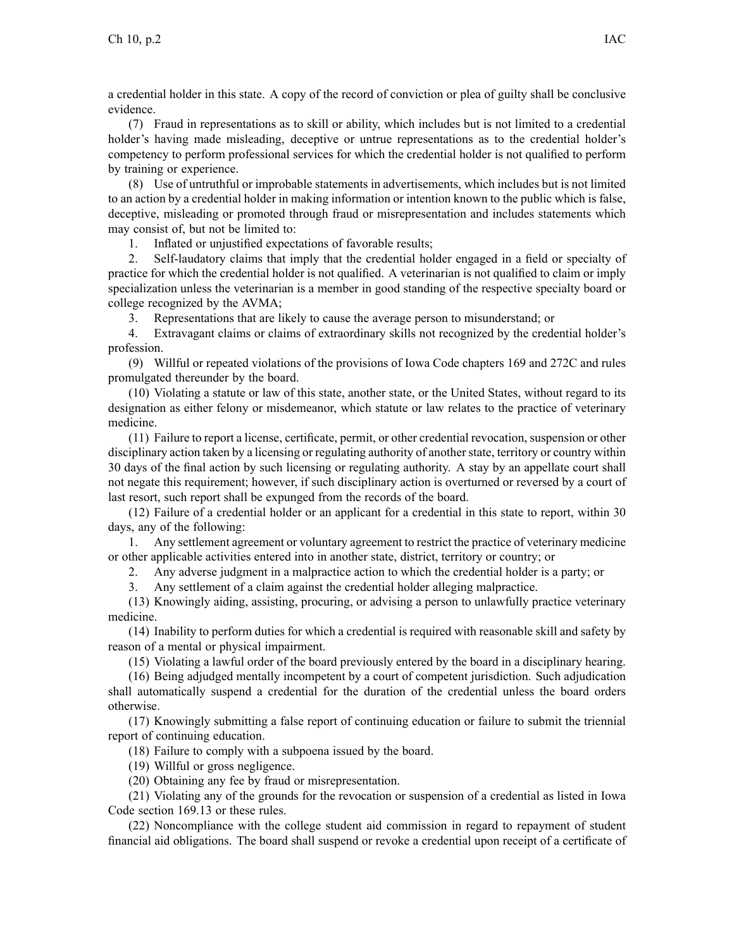<sup>a</sup> credential holder in this state. A copy of the record of conviction or plea of guilty shall be conclusive evidence.

(7) Fraud in representations as to skill or ability, which includes but is not limited to <sup>a</sup> credential holder's having made misleading, deceptive or untrue representations as to the credential holder's competency to perform professional services for which the credential holder is not qualified to perform by training or experience.

(8) Use of untruthful or improbable statements in advertisements, which includes but is not limited to an action by <sup>a</sup> credential holder in making information or intention known to the public which is false, deceptive, misleading or promoted through fraud or misrepresentation and includes statements which may consist of, but not be limited to:

1. Inflated or unjustified expectations of favorable results;

2. Self-laudatory claims that imply that the credential holder engaged in <sup>a</sup> field or specialty of practice for which the credential holder is not qualified. A veterinarian is not qualified to claim or imply specialization unless the veterinarian is <sup>a</sup> member in good standing of the respective specialty board or college recognized by the AVMA;

3. Representations that are likely to cause the average person to misunderstand; or

4. Extravagant claims or claims of extraordinary skills not recognized by the credential holder's profession.

(9) Willful or repeated violations of the provisions of Iowa Code chapters 169 and 272C and rules promulgated thereunder by the board.

(10) Violating <sup>a</sup> statute or law of this state, another state, or the United States, without regard to its designation as either felony or misdemeanor, which statute or law relates to the practice of veterinary medicine.

(11) Failure to repor<sup>t</sup> <sup>a</sup> license, certificate, permit, or other credential revocation, suspension or other disciplinary action taken by a licensing or regulating authority of another state, territory or country within 30 days of the final action by such licensing or regulating authority. A stay by an appellate court shall not negate this requirement; however, if such disciplinary action is overturned or reversed by <sup>a</sup> court of last resort, such repor<sup>t</sup> shall be expunged from the records of the board.

(12) Failure of <sup>a</sup> credential holder or an applicant for <sup>a</sup> credential in this state to report, within 30 days, any of the following:

1. Any settlement agreemen<sup>t</sup> or voluntary agreemen<sup>t</sup> to restrict the practice of veterinary medicine or other applicable activities entered into in another state, district, territory or country; or

2. Any adverse judgment in <sup>a</sup> malpractice action to which the credential holder is <sup>a</sup> party; or

3. Any settlement of <sup>a</sup> claim against the credential holder alleging malpractice.

(13) Knowingly aiding, assisting, procuring, or advising <sup>a</sup> person to unlawfully practice veterinary medicine.

(14) Inability to perform duties for which <sup>a</sup> credential is required with reasonable skill and safety by reason of <sup>a</sup> mental or physical impairment.

(15) Violating <sup>a</sup> lawful order of the board previously entered by the board in <sup>a</sup> disciplinary hearing.

(16) Being adjudged mentally incompetent by <sup>a</sup> court of competent jurisdiction. Such adjudication shall automatically suspend <sup>a</sup> credential for the duration of the credential unless the board orders otherwise.

(17) Knowingly submitting <sup>a</sup> false repor<sup>t</sup> of continuing education or failure to submit the triennial repor<sup>t</sup> of continuing education.

(18) Failure to comply with <sup>a</sup> subpoena issued by the board.

(19) Willful or gross negligence.

(20) Obtaining any fee by fraud or misrepresentation.

(21) Violating any of the grounds for the revocation or suspension of <sup>a</sup> credential as listed in Iowa Code section 169.13 or these rules.

(22) Noncompliance with the college student aid commission in regard to repaymen<sup>t</sup> of student financial aid obligations. The board shall suspend or revoke <sup>a</sup> credential upon receipt of <sup>a</sup> certificate of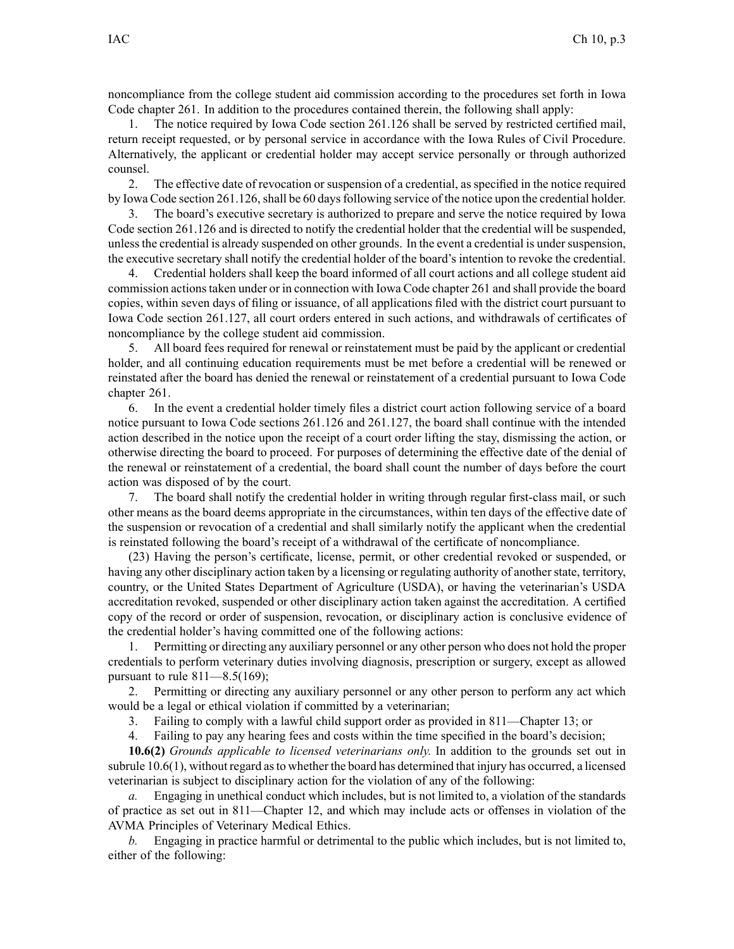noncompliance from the college student aid commission according to the procedures set forth in Iowa Code chapter 261. In addition to the procedures contained therein, the following shall apply:

1. The notice required by Iowa Code section 261.126 shall be served by restricted certified mail, return receipt requested, or by personal service in accordance with the Iowa Rules of Civil Procedure. Alternatively, the applicant or credential holder may accep<sup>t</sup> service personally or through authorized counsel.

2. The effective date of revocation or suspension of <sup>a</sup> credential, as specified in the notice required by Iowa Code section 261.126, shall be 60 days following service of the notice upon the credential holder.

3. The board's executive secretary is authorized to prepare and serve the notice required by Iowa Code section 261.126 and is directed to notify the credential holder that the credential will be suspended, unless the credential is already suspended on other grounds. In the event a credential is under suspension, the executive secretary shall notify the credential holder of the board's intention to revoke the credential.

4. Credential holders shall keep the board informed of all court actions and all college student aid commission actionstaken under or in connection with Iowa Code chapter 261 and shall provide the board copies, within seven days of filing or issuance, of all applications filed with the district court pursuan<sup>t</sup> to Iowa Code section 261.127, all court orders entered in such actions, and withdrawals of certificates of noncompliance by the college student aid commission.

5. All board fees required for renewal or reinstatement must be paid by the applicant or credential holder, and all continuing education requirements must be met before <sup>a</sup> credential will be renewed or reinstated after the board has denied the renewal or reinstatement of <sup>a</sup> credential pursuan<sup>t</sup> to Iowa Code chapter 261.

6. In the event <sup>a</sup> credential holder timely files <sup>a</sup> district court action following service of <sup>a</sup> board notice pursuan<sup>t</sup> to Iowa Code sections 261.126 and 261.127, the board shall continue with the intended action described in the notice upon the receipt of <sup>a</sup> court order lifting the stay, dismissing the action, or otherwise directing the board to proceed. For purposes of determining the effective date of the denial of the renewal or reinstatement of <sup>a</sup> credential, the board shall count the number of days before the court action was disposed of by the court.

7. The board shall notify the credential holder in writing through regular first-class mail, or such other means as the board deems appropriate in the circumstances, within ten days of the effective date of the suspension or revocation of <sup>a</sup> credential and shall similarly notify the applicant when the credential is reinstated following the board's receipt of <sup>a</sup> withdrawal of the certificate of noncompliance.

(23) Having the person's certificate, license, permit, or other credential revoked or suspended, or having any other disciplinary action taken by a licensing or regulating authority of another state, territory, country, or the United States Department of Agriculture (USDA), or having the veterinarian's USDA accreditation revoked, suspended or other disciplinary action taken against the accreditation. A certified copy of the record or order of suspension, revocation, or disciplinary action is conclusive evidence of the credential holder's having committed one of the following actions:

1. Permitting or directing any auxiliary personnel or any other person who does not hold the proper credentials to perform veterinary duties involving diagnosis, prescription or surgery, excep<sup>t</sup> as allowed pursuant to rule  $811 - 8.5(169)$ ;

2. Permitting or directing any auxiliary personnel or any other person to perform any act which would be <sup>a</sup> legal or ethical violation if committed by <sup>a</sup> veterinarian;

3. Failing to comply with <sup>a</sup> lawful child suppor<sup>t</sup> order as provided in 811—Chapter 13; or

4. Failing to pay any hearing fees and costs within the time specified in the board's decision;

**10.6(2)** *Grounds applicable to licensed veterinarians only.* In addition to the grounds set out in subrule 10.6(1), without regard asto whether the board has determined that injury has occurred, <sup>a</sup> licensed veterinarian is subject to disciplinary action for the violation of any of the following:

*a.* Engaging in unethical conduct which includes, but is not limited to, <sup>a</sup> violation of the standards of practice as set out in 811—Chapter 12, and which may include acts or offenses in violation of the AVMA Principles of Veterinary Medical Ethics.

*b.* Engaging in practice harmful or detrimental to the public which includes, but is not limited to, either of the following: